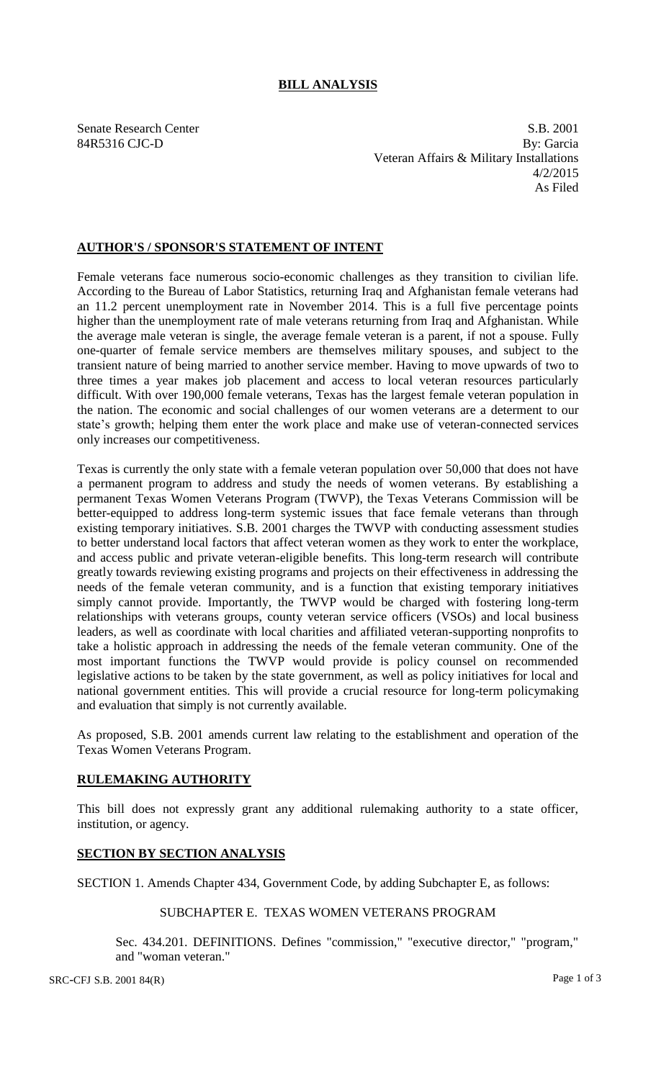# **BILL ANALYSIS**

Senate Research Center S.B. 2001 84R5316 CJC-D By: Garcia Veteran Affairs & Military Installations 4/2/2015 As Filed

## **AUTHOR'S / SPONSOR'S STATEMENT OF INTENT**

Female veterans face numerous socio-economic challenges as they transition to civilian life. According to the Bureau of Labor Statistics, returning Iraq and Afghanistan female veterans had an 11.2 percent unemployment rate in November 2014. This is a full five percentage points higher than the unemployment rate of male veterans returning from Iraq and Afghanistan. While the average male veteran is single, the average female veteran is a parent, if not a spouse. Fully one-quarter of female service members are themselves military spouses, and subject to the transient nature of being married to another service member. Having to move upwards of two to three times a year makes job placement and access to local veteran resources particularly difficult. With over 190,000 female veterans, Texas has the largest female veteran population in the nation. The economic and social challenges of our women veterans are a determent to our state's growth; helping them enter the work place and make use of veteran-connected services only increases our competitiveness.

Texas is currently the only state with a female veteran population over 50,000 that does not have a permanent program to address and study the needs of women veterans. By establishing a permanent Texas Women Veterans Program (TWVP), the Texas Veterans Commission will be better-equipped to address long-term systemic issues that face female veterans than through existing temporary initiatives. S.B. 2001 charges the TWVP with conducting assessment studies to better understand local factors that affect veteran women as they work to enter the workplace, and access public and private veteran-eligible benefits. This long-term research will contribute greatly towards reviewing existing programs and projects on their effectiveness in addressing the needs of the female veteran community, and is a function that existing temporary initiatives simply cannot provide. Importantly, the TWVP would be charged with fostering long-term relationships with veterans groups, county veteran service officers (VSOs) and local business leaders, as well as coordinate with local charities and affiliated veteran-supporting nonprofits to take a holistic approach in addressing the needs of the female veteran community. One of the most important functions the TWVP would provide is policy counsel on recommended legislative actions to be taken by the state government, as well as policy initiatives for local and national government entities. This will provide a crucial resource for long-term policymaking and evaluation that simply is not currently available.

As proposed, S.B. 2001 amends current law relating to the establishment and operation of the Texas Women Veterans Program.

### **RULEMAKING AUTHORITY**

This bill does not expressly grant any additional rulemaking authority to a state officer, institution, or agency.

### **SECTION BY SECTION ANALYSIS**

SECTION 1. Amends Chapter 434, Government Code, by adding Subchapter E, as follows:

### SUBCHAPTER E. TEXAS WOMEN VETERANS PROGRAM

Sec. 434.201. DEFINITIONS. Defines "commission," "executive director," "program," and "woman veteran."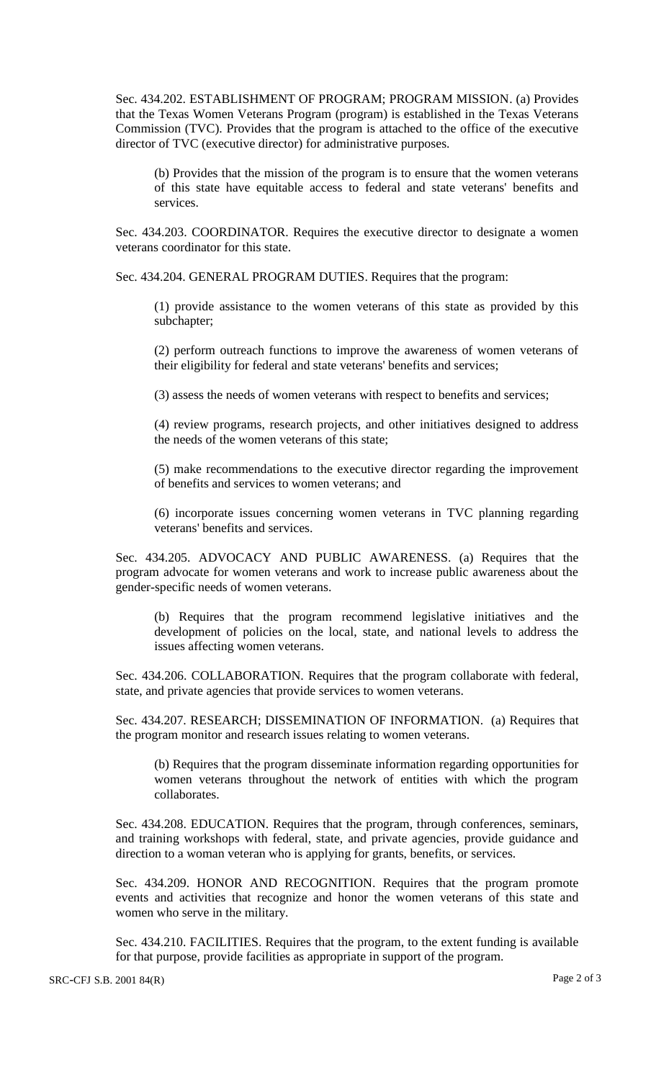Sec. 434.202. ESTABLISHMENT OF PROGRAM; PROGRAM MISSION. (a) Provides that the Texas Women Veterans Program (program) is established in the Texas Veterans Commission (TVC). Provides that the program is attached to the office of the executive director of TVC (executive director) for administrative purposes.

(b) Provides that the mission of the program is to ensure that the women veterans of this state have equitable access to federal and state veterans' benefits and services.

Sec. 434.203. COORDINATOR. Requires the executive director to designate a women veterans coordinator for this state.

Sec. 434.204. GENERAL PROGRAM DUTIES. Requires that the program:

(1) provide assistance to the women veterans of this state as provided by this subchapter;

(2) perform outreach functions to improve the awareness of women veterans of their eligibility for federal and state veterans' benefits and services;

(3) assess the needs of women veterans with respect to benefits and services;

(4) review programs, research projects, and other initiatives designed to address the needs of the women veterans of this state;

(5) make recommendations to the executive director regarding the improvement of benefits and services to women veterans; and

(6) incorporate issues concerning women veterans in TVC planning regarding veterans' benefits and services.

Sec. 434.205. ADVOCACY AND PUBLIC AWARENESS. (a) Requires that the program advocate for women veterans and work to increase public awareness about the gender-specific needs of women veterans.

(b) Requires that the program recommend legislative initiatives and the development of policies on the local, state, and national levels to address the issues affecting women veterans.

Sec. 434.206. COLLABORATION. Requires that the program collaborate with federal, state, and private agencies that provide services to women veterans.

Sec. 434.207. RESEARCH; DISSEMINATION OF INFORMATION. (a) Requires that the program monitor and research issues relating to women veterans.

(b) Requires that the program disseminate information regarding opportunities for women veterans throughout the network of entities with which the program collaborates.

Sec. 434.208. EDUCATION. Requires that the program, through conferences, seminars, and training workshops with federal, state, and private agencies, provide guidance and direction to a woman veteran who is applying for grants, benefits, or services.

Sec. 434.209. HONOR AND RECOGNITION. Requires that the program promote events and activities that recognize and honor the women veterans of this state and women who serve in the military.

Sec. 434.210. FACILITIES. Requires that the program, to the extent funding is available for that purpose, provide facilities as appropriate in support of the program.